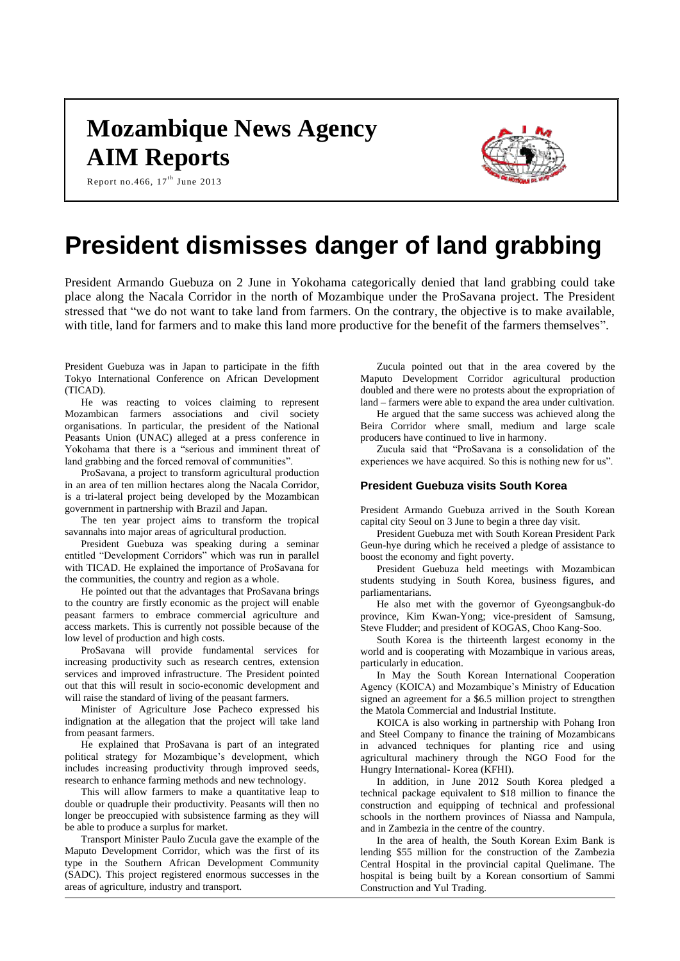# **Mozambique News Agency AIM Reports**



Report no. 466,  $17^{th}$  June 2013

# **President dismisses danger of land grabbing**

President Armando Guebuza on 2 June in Yokohama categorically denied that land grabbing could take place along the Nacala Corridor in the north of Mozambique under the ProSavana project. The President stressed that "we do not want to take land from farmers. On the contrary, the objective is to make available, with title, land for farmers and to make this land more productive for the benefit of the farmers themselves".

President Guebuza was in Japan to participate in the fifth Tokyo International Conference on African Development (TICAD).

He was reacting to voices claiming to represent Mozambican farmers associations and civil society organisations. In particular, the president of the National Peasants Union (UNAC) alleged at a press conference in Yokohama that there is a "serious and imminent threat of land grabbing and the forced removal of communities".

ProSavana, a project to transform agricultural production in an area of ten million hectares along the Nacala Corridor, is a tri-lateral project being developed by the Mozambican government in partnership with Brazil and Japan.

The ten year project aims to transform the tropical savannahs into major areas of agricultural production.

President Guebuza was speaking during a seminar entitled "Development Corridors" which was run in parallel with TICAD. He explained the importance of ProSavana for the communities, the country and region as a whole.

He pointed out that the advantages that ProSavana brings to the country are firstly economic as the project will enable peasant farmers to embrace commercial agriculture and access markets. This is currently not possible because of the low level of production and high costs.

ProSavana will provide fundamental services for increasing productivity such as research centres, extension services and improved infrastructure. The President pointed out that this will result in socio-economic development and will raise the standard of living of the peasant farmers.

Minister of Agriculture Jose Pacheco expressed his indignation at the allegation that the project will take land from peasant farmers.

He explained that ProSavana is part of an integrated political strategy for Mozambique's development, which includes increasing productivity through improved seeds, research to enhance farming methods and new technology.

This will allow farmers to make a quantitative leap to double or quadruple their productivity. Peasants will then no longer be preoccupied with subsistence farming as they will be able to produce a surplus for market.

Transport Minister Paulo Zucula gave the example of the Maputo Development Corridor, which was the first of its type in the Southern African Development Community (SADC). This project registered enormous successes in the areas of agriculture, industry and transport.

Zucula pointed out that in the area covered by the Maputo Development Corridor agricultural production doubled and there were no protests about the expropriation of land – farmers were able to expand the area under cultivation.

He argued that the same success was achieved along the Beira Corridor where small, medium and large scale producers have continued to live in harmony.

Zucula said that "ProSavana is a consolidation of the experiences we have acquired. So this is nothing new for us".

### **President Guebuza visits South Korea**

President Armando Guebuza arrived in the South Korean capital city Seoul on 3 June to begin a three day visit.

President Guebuza met with South Korean President Park Geun-hye during which he received a pledge of assistance to boost the economy and fight poverty.

President Guebuza held meetings with Mozambican students studying in South Korea, business figures, and parliamentarians.

He also met with the governor of Gyeongsangbuk-do province, Kim Kwan-Yong; vice-president of Samsung, Steve Fludder; and president of KOGAS, Choo Kang-Soo.

South Korea is the thirteenth largest economy in the world and is cooperating with Mozambique in various areas, particularly in education.

In May the South Korean International Cooperation Agency (KOICA) and Mozambique's Ministry of Education signed an agreement for a \$6.5 million project to strengthen the Matola Commercial and Industrial Institute.

KOICA is also working in partnership with Pohang Iron and Steel Company to finance the training of Mozambicans in advanced techniques for planting rice and using agricultural machinery through the NGO Food for the Hungry International- Korea (KFHI).

In addition, in June 2012 South Korea pledged a technical package equivalent to \$18 million to finance the construction and equipping of technical and professional schools in the northern provinces of Niassa and Nampula, and in Zambezia in the centre of the country.

In the area of health, the South Korean Exim Bank is lending \$55 million for the construction of the Zambezia Central Hospital in the provincial capital Quelimane. The hospital is being built by a Korean consortium of Sammi Construction and Yul Trading.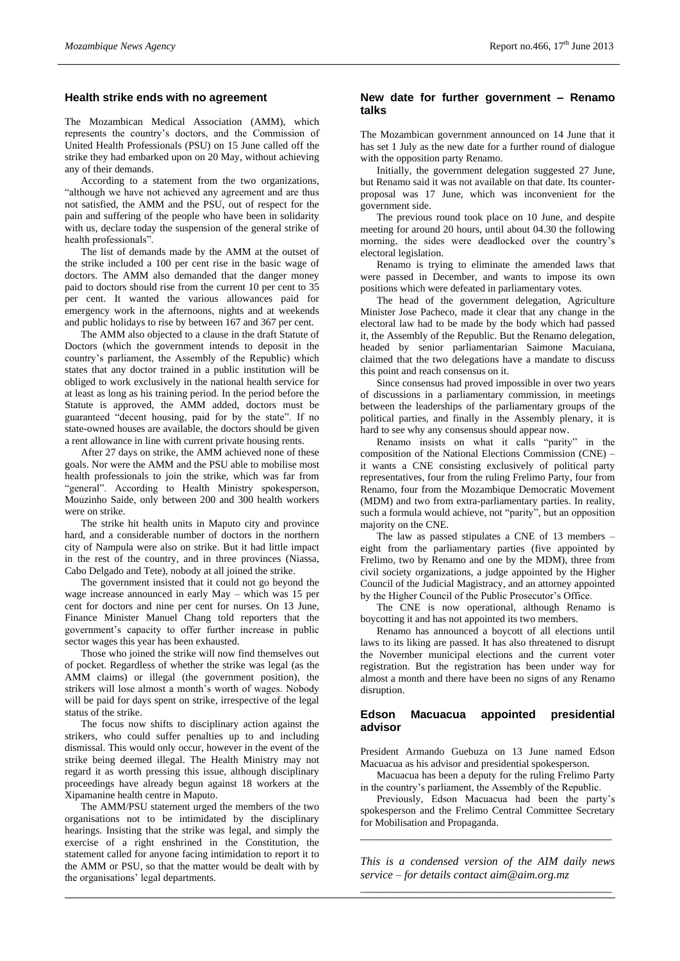#### **Health strike ends with no agreement**

The Mozambican Medical Association (AMM), which represents the country's doctors, and the Commission of United Health Professionals (PSU) on 15 June called off the strike they had embarked upon on 20 May, without achieving any of their demands.

According to a statement from the two organizations, "although we have not achieved any agreement and are thus not satisfied, the AMM and the PSU, out of respect for the pain and suffering of the people who have been in solidarity with us, declare today the suspension of the general strike of health professionals".

The list of demands made by the AMM at the outset of the strike included a 100 per cent rise in the basic wage of doctors. The AMM also demanded that the danger money paid to doctors should rise from the current 10 per cent to 35 per cent. It wanted the various allowances paid for emergency work in the afternoons, nights and at weekends and public holidays to rise by between 167 and 367 per cent.

The AMM also objected to a clause in the draft Statute of Doctors (which the government intends to deposit in the country's parliament, the Assembly of the Republic) which states that any doctor trained in a public institution will be obliged to work exclusively in the national health service for at least as long as his training period. In the period before the Statute is approved, the AMM added, doctors must be guaranteed "decent housing, paid for by the state". If no state-owned houses are available, the doctors should be given a rent allowance in line with current private housing rents.

After 27 days on strike, the AMM achieved none of these goals. Nor were the AMM and the PSU able to mobilise most health professionals to join the strike, which was far from "general". According to Health Ministry spokesperson, Mouzinho Saide, only between 200 and 300 health workers were on strike.

The strike hit health units in Maputo city and province hard, and a considerable number of doctors in the northern city of Nampula were also on strike. But it had little impact in the rest of the country, and in three provinces (Niassa, Cabo Delgado and Tete), nobody at all joined the strike.

The government insisted that it could not go beyond the wage increase announced in early May – which was 15 per cent for doctors and nine per cent for nurses. On 13 June, Finance Minister Manuel Chang told reporters that the government's capacity to offer further increase in public sector wages this year has been exhausted.

Those who joined the strike will now find themselves out of pocket. Regardless of whether the strike was legal (as the AMM claims) or illegal (the government position), the strikers will lose almost a month's worth of wages. Nobody will be paid for days spent on strike, irrespective of the legal status of the strike.

The focus now shifts to disciplinary action against the strikers, who could suffer penalties up to and including dismissal. This would only occur, however in the event of the strike being deemed illegal. The Health Ministry may not regard it as worth pressing this issue, although disciplinary proceedings have already begun against 18 workers at the Xipamanine health centre in Maputo.

The AMM/PSU statement urged the members of the two organisations not to be intimidated by the disciplinary hearings. Insisting that the strike was legal, and simply the exercise of a right enshrined in the Constitution, the statement called for anyone facing intimidation to report it to the AMM or PSU, so that the matter would be dealt with by the organisations' legal departments.

### **New date for further government – Renamo talks**

The Mozambican government announced on 14 June that it has set 1 July as the new date for a further round of dialogue with the opposition party Renamo.

Initially, the government delegation suggested 27 June, but Renamo said it was not available on that date. Its counterproposal was 17 June, which was inconvenient for the government side.

The previous round took place on 10 June, and despite meeting for around 20 hours, until about 04.30 the following morning, the sides were deadlocked over the country's electoral legislation.

Renamo is trying to eliminate the amended laws that were passed in December, and wants to impose its own positions which were defeated in parliamentary votes.

The head of the government delegation, Agriculture Minister Jose Pacheco, made it clear that any change in the electoral law had to be made by the body which had passed it, the Assembly of the Republic. But the Renamo delegation, headed by senior parliamentarian Saimone Macuiana, claimed that the two delegations have a mandate to discuss this point and reach consensus on it.

Since consensus had proved impossible in over two years of discussions in a parliamentary commission, in meetings between the leaderships of the parliamentary groups of the political parties, and finally in the Assembly plenary, it is hard to see why any consensus should appear now.

Renamo insists on what it calls "parity" in the composition of the National Elections Commission (CNE) – it wants a CNE consisting exclusively of political party representatives, four from the ruling Frelimo Party, four from Renamo, four from the Mozambique Democratic Movement (MDM) and two from extra-parliamentary parties. In reality, such a formula would achieve, not "parity", but an opposition majority on the CNE.

The law as passed stipulates a CNE of 13 members – eight from the parliamentary parties (five appointed by Frelimo, two by Renamo and one by the MDM), three from civil society organizations, a judge appointed by the Higher Council of the Judicial Magistracy, and an attorney appointed by the Higher Council of the Public Prosecutor's Office.

The CNE is now operational, although Renamo is boycotting it and has not appointed its two members.

Renamo has announced a boycott of all elections until laws to its liking are passed. It has also threatened to disrupt the November municipal elections and the current voter registration. But the registration has been under way for almost a month and there have been no signs of any Renamo disruption.

# **Edson Macuacua appointed presidential advisor**

President Armando Guebuza on 13 June named Edson Macuacua as his advisor and presidential spokesperson.

Macuacua has been a deputy for the ruling Frelimo Party in the country's parliament, the Assembly of the Republic.

Previously, Edson Macuacua had been the party's spokesperson and the Frelimo Central Committee Secretary for Mobilisation and Propaganda.

*\_\_\_\_\_\_\_\_\_\_\_\_\_\_\_\_\_\_\_\_\_\_\_\_\_\_\_\_\_\_\_\_\_\_\_\_\_\_\_\_\_\_\_\_*

*This is a condensed version of the AIM daily news service – for details contact [aim@aim.org.mz](mailto:aim@aim.org.mz) \_\_\_\_\_\_\_\_\_\_\_\_\_\_\_\_\_\_\_\_\_\_\_\_\_\_\_\_\_\_\_\_\_\_\_\_\_\_\_\_\_\_\_\_*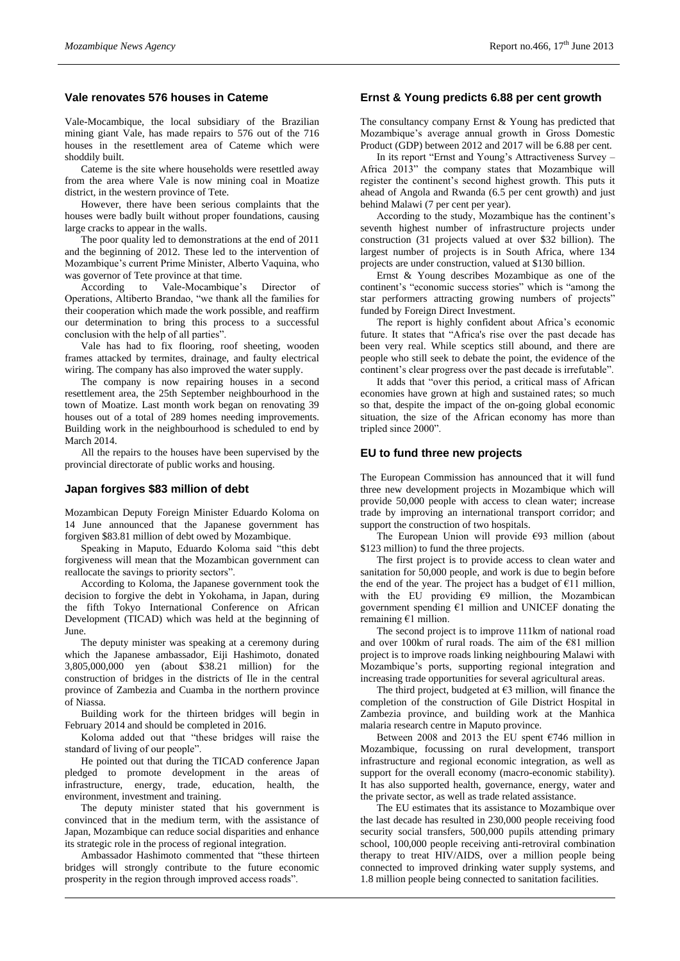# **Vale renovates 576 houses in Cateme**

Vale-Mocambique, the local subsidiary of the Brazilian mining giant Vale, has made repairs to 576 out of the 716 houses in the resettlement area of Cateme which were shoddily built.

Cateme is the site where households were resettled away from the area where Vale is now mining coal in Moatize district, in the western province of Tete.

However, there have been serious complaints that the houses were badly built without proper foundations, causing large cracks to appear in the walls.

The poor quality led to demonstrations at the end of 2011 and the beginning of 2012. These led to the intervention of Mozambique's current Prime Minister, Alberto Vaquina, who was governor of Tete province at that time.

According to Vale-Mocambique's Director of Operations, Altiberto Brandao, "we thank all the families for their cooperation which made the work possible, and reaffirm our determination to bring this process to a successful conclusion with the help of all parties".

Vale has had to fix flooring, roof sheeting, wooden frames attacked by termites, drainage, and faulty electrical wiring. The company has also improved the water supply.

The company is now repairing houses in a second resettlement area, the 25th September neighbourhood in the town of Moatize. Last month work began on renovating 39 houses out of a total of 289 homes needing improvements. Building work in the neighbourhood is scheduled to end by March 2014.

All the repairs to the houses have been supervised by the provincial directorate of public works and housing.

#### **Japan forgives \$83 million of debt**

Mozambican Deputy Foreign Minister Eduardo Koloma on 14 June announced that the Japanese government has forgiven \$83.81 million of debt owed by Mozambique.

Speaking in Maputo, Eduardo Koloma said "this debt forgiveness will mean that the Mozambican government can reallocate the savings to priority sectors".

According to Koloma, the Japanese government took the decision to forgive the debt in Yokohama, in Japan, during the fifth Tokyo International Conference on African Development (TICAD) which was held at the beginning of June.

The deputy minister was speaking at a ceremony during which the Japanese ambassador, Eiji Hashimoto, donated 3,805,000,000 yen (about \$38.21 million) for the construction of bridges in the districts of Ile in the central province of Zambezia and Cuamba in the northern province of Niassa.

Building work for the thirteen bridges will begin in February 2014 and should be completed in 2016.

Koloma added out that "these bridges will raise the standard of living of our people".

He pointed out that during the TICAD conference Japan pledged to promote development in the areas of infrastructure, energy, trade, education, health, the environment, investment and training.

The deputy minister stated that his government is convinced that in the medium term, with the assistance of Japan, Mozambique can reduce social disparities and enhance its strategic role in the process of regional integration.

Ambassador Hashimoto commented that "these thirteen bridges will strongly contribute to the future economic prosperity in the region through improved access roads".

#### **Ernst & Young predicts 6.88 per cent growth**

The consultancy company Ernst & Young has predicted that Mozambique's average annual growth in Gross Domestic Product (GDP) between 2012 and 2017 will be 6.88 per cent.

In its report "Ernst and Young's Attractiveness Survey – Africa 2013" the company states that Mozambique will register the continent's second highest growth. This puts it ahead of Angola and Rwanda (6.5 per cent growth) and just behind Malawi (7 per cent per year).

According to the study, Mozambique has the continent's seventh highest number of infrastructure projects under construction (31 projects valued at over \$32 billion). The largest number of projects is in South Africa, where 134 projects are under construction, valued at \$130 billion.

Ernst & Young describes Mozambique as one of the continent's "economic success stories" which is "among the star performers attracting growing numbers of projects" funded by Foreign Direct Investment.

The report is highly confident about Africa's economic future. It states that "Africa's rise over the past decade has been very real. While sceptics still abound, and there are people who still seek to debate the point, the evidence of the continent's clear progress over the past decade is irrefutable".

It adds that "over this period, a critical mass of African economies have grown at high and sustained rates; so much so that, despite the impact of the on-going global economic situation, the size of the African economy has more than tripled since 2000".

#### **EU to fund three new projects**

The European Commission has announced that it will fund three new development projects in Mozambique which will provide 50,000 people with access to clean water; increase trade by improving an international transport corridor; and support the construction of two hospitals.

The European Union will provide  $\epsilon$ 93 million (about \$123 million) to fund the three projects.

The first project is to provide access to clean water and sanitation for 50,000 people, and work is due to begin before the end of the year. The project has a budget of  $E11$  million, with the EU providing  $\epsilon$ 9 million, the Mozambican government spending €1 million and UNICEF donating the remaining €1 million.

The second project is to improve 111km of national road and over 100km of rural roads. The aim of the €81 million project is to improve roads linking neighbouring Malawi with Mozambique's ports, supporting regional integration and increasing trade opportunities for several agricultural areas.

The third project, budgeted at  $\epsilon$ 3 million, will finance the completion of the construction of Gile District Hospital in Zambezia province, and building work at the Manhica malaria research centre in Maputo province.

Between 2008 and 2013 the EU spent  $\epsilon$ 746 million in Mozambique, focussing on rural development, transport infrastructure and regional economic integration, as well as support for the overall economy (macro-economic stability). It has also supported health, governance, energy, water and the private sector, as well as trade related assistance.

The EU estimates that its assistance to Mozambique over the last decade has resulted in 230,000 people receiving food security social transfers, 500,000 pupils attending primary school, 100,000 people receiving anti-retroviral combination therapy to treat HIV/AIDS, over a million people being connected to improved drinking water supply systems, and 1.8 million people being connected to sanitation facilities.